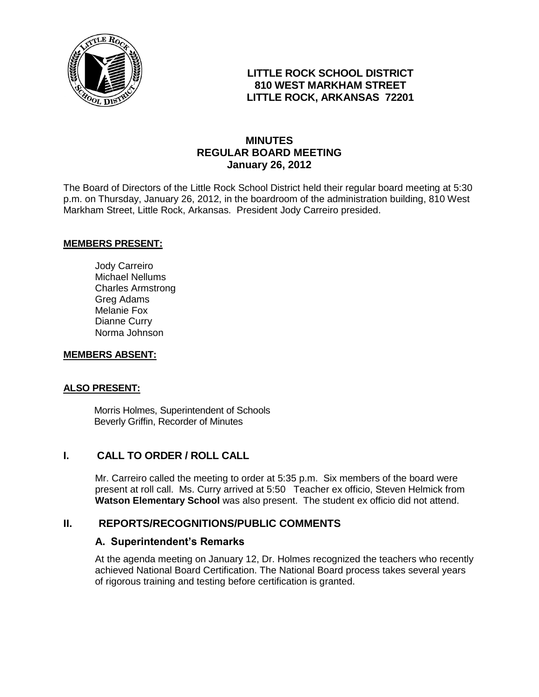

### **LITTLE ROCK SCHOOL DISTRICT 810 WEST MARKHAM STREET LITTLE ROCK, ARKANSAS 72201**

### **MINUTES REGULAR BOARD MEETING January 26, 2012**

The Board of Directors of the Little Rock School District held their regular board meeting at 5:30 p.m. on Thursday, January 26, 2012, in the boardroom of the administration building, 810 West Markham Street, Little Rock, Arkansas. President Jody Carreiro presided.

#### **MEMBERS PRESENT:**

Jody Carreiro Michael Nellums Charles Armstrong Greg Adams Melanie Fox Dianne Curry Norma Johnson

#### **MEMBERS ABSENT:**

#### **ALSO PRESENT:**

 Morris Holmes, Superintendent of Schools Beverly Griffin, Recorder of Minutes

### **I. CALL TO ORDER / ROLL CALL**

Mr. Carreiro called the meeting to order at 5:35 p.m. Six members of the board were present at roll call. Ms. Curry arrived at 5:50 Teacher ex officio, Steven Helmick from **Watson Elementary School** was also present. The student ex officio did not attend.

#### **II. REPORTS/RECOGNITIONS/PUBLIC COMMENTS**

#### **A. Superintendent's Remarks**

At the agenda meeting on January 12, Dr. Holmes recognized the teachers who recently achieved National Board Certification. The National Board process takes several years of rigorous training and testing before certification is granted.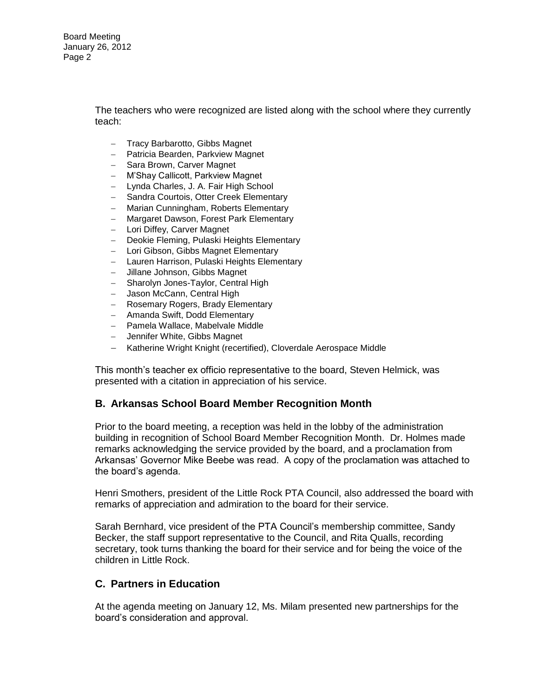Board Meeting January 26, 2012 Page 2

> The teachers who were recognized are listed along with the school where they currently teach:

- Tracy Barbarotto, Gibbs Magnet
- Patricia Bearden, Parkview Magnet
- Sara Brown, Carver Magnet
- M'Shay Callicott, Parkview Magnet
- Lynda Charles, J. A. Fair High School
- Sandra Courtois, Otter Creek Elementary
- Marian Cunningham, Roberts Elementary
- Margaret Dawson, Forest Park Elementary
- Lori Diffey, Carver Magnet
- Deokie Fleming, Pulaski Heights Elementary
- Lori Gibson, Gibbs Magnet Elementary
- Lauren Harrison, Pulaski Heights Elementary
- Jillane Johnson, Gibbs Magnet
- Sharolyn Jones-Taylor, Central High
- Jason McCann, Central High
- Rosemary Rogers, Brady Elementary
- Amanda Swift, Dodd Elementary
- Pamela Wallace, Mabelvale Middle
- Jennifer White, Gibbs Magnet
- Katherine Wright Knight (recertified), Cloverdale Aerospace Middle

This month's teacher ex officio representative to the board, Steven Helmick, was presented with a citation in appreciation of his service.

#### **B. Arkansas School Board Member Recognition Month**

Prior to the board meeting, a reception was held in the lobby of the administration building in recognition of School Board Member Recognition Month. Dr. Holmes made remarks acknowledging the service provided by the board, and a proclamation from Arkansas' Governor Mike Beebe was read. A copy of the proclamation was attached to the board's agenda.

Henri Smothers, president of the Little Rock PTA Council, also addressed the board with remarks of appreciation and admiration to the board for their service.

Sarah Bernhard, vice president of the PTA Council's membership committee, Sandy Becker, the staff support representative to the Council, and Rita Qualls, recording secretary, took turns thanking the board for their service and for being the voice of the children in Little Rock.

#### **C. Partners in Education**

At the agenda meeting on January 12, Ms. Milam presented new partnerships for the board's consideration and approval.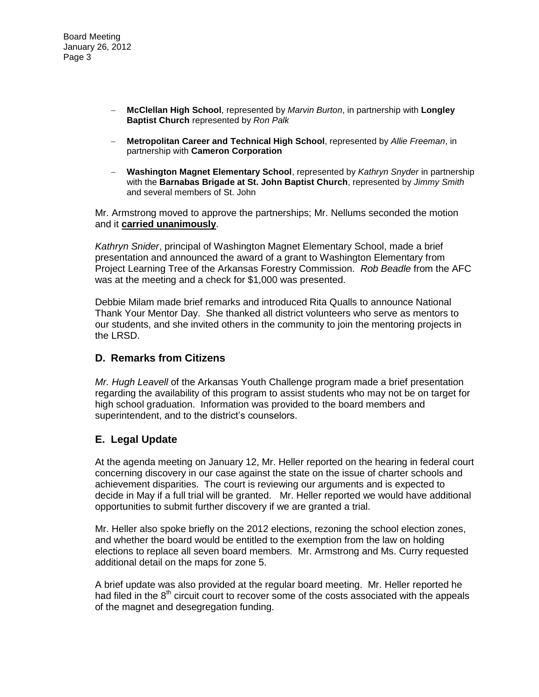- **McClellan High School**, represented by *Marvin Burton*, in partnership with **Longley Baptist Church** represented by *Ron Palk*
- **Metropolitan Career and Technical High School**, represented by *Allie Freeman*, in partnership with **Cameron Corporation**
- **Washington Magnet Elementary School**, represented by *Kathryn Snyder* in partnership with the **Barnabas Brigade at St. John Baptist Church**, represented by *Jimmy Smith* and several members of St. John

Mr. Armstrong moved to approve the partnerships; Mr. Nellums seconded the motion and it **carried unanimously**.

*Kathryn Snider*, principal of Washington Magnet Elementary School, made a brief presentation and announced the award of a grant to Washington Elementary from Project Learning Tree of the Arkansas Forestry Commission. *Rob Beadle* from the AFC was at the meeting and a check for \$1,000 was presented.

Debbie Milam made brief remarks and introduced Rita Qualls to announce National Thank Your Mentor Day. She thanked all district volunteers who serve as mentors to our students, and she invited others in the community to join the mentoring projects in the LRSD.

### **D. Remarks from Citizens**

*Mr. Hugh Leavell* of the Arkansas Youth Challenge program made a brief presentation regarding the availability of this program to assist students who may not be on target for high school graduation. Information was provided to the board members and superintendent, and to the district's counselors.

### **E. Legal Update**

At the agenda meeting on January 12, Mr. Heller reported on the hearing in federal court concerning discovery in our case against the state on the issue of charter schools and achievement disparities. The court is reviewing our arguments and is expected to decide in May if a full trial will be granted. Mr. Heller reported we would have additional opportunities to submit further discovery if we are granted a trial.

Mr. Heller also spoke briefly on the 2012 elections, rezoning the school election zones, and whether the board would be entitled to the exemption from the law on holding elections to replace all seven board members. Mr. Armstrong and Ms. Curry requested additional detail on the maps for zone 5.

A brief update was also provided at the regular board meeting. Mr. Heller reported he had filed in the  $8<sup>th</sup>$  circuit court to recover some of the costs associated with the appeals of the magnet and desegregation funding.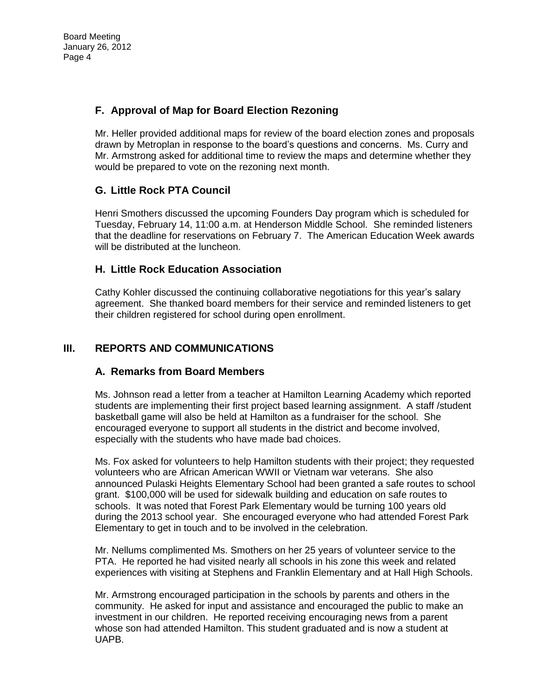# **F. Approval of Map for Board Election Rezoning**

Mr. Heller provided additional maps for review of the board election zones and proposals drawn by Metroplan in response to the board's questions and concerns. Ms. Curry and Mr. Armstrong asked for additional time to review the maps and determine whether they would be prepared to vote on the rezoning next month.

## **G. Little Rock PTA Council**

Henri Smothers discussed the upcoming Founders Day program which is scheduled for Tuesday, February 14, 11:00 a.m. at Henderson Middle School. She reminded listeners that the deadline for reservations on February 7. The American Education Week awards will be distributed at the luncheon.

### **H. Little Rock Education Association**

Cathy Kohler discussed the continuing collaborative negotiations for this year's salary agreement. She thanked board members for their service and reminded listeners to get their children registered for school during open enrollment.

## **III. REPORTS AND COMMUNICATIONS**

### **A. Remarks from Board Members**

Ms. Johnson read a letter from a teacher at Hamilton Learning Academy which reported students are implementing their first project based learning assignment. A staff /student basketball game will also be held at Hamilton as a fundraiser for the school. She encouraged everyone to support all students in the district and become involved, especially with the students who have made bad choices.

Ms. Fox asked for volunteers to help Hamilton students with their project; they requested volunteers who are African American WWII or Vietnam war veterans. She also announced Pulaski Heights Elementary School had been granted a safe routes to school grant. \$100,000 will be used for sidewalk building and education on safe routes to schools. It was noted that Forest Park Elementary would be turning 100 years old during the 2013 school year. She encouraged everyone who had attended Forest Park Elementary to get in touch and to be involved in the celebration.

Mr. Nellums complimented Ms. Smothers on her 25 years of volunteer service to the PTA. He reported he had visited nearly all schools in his zone this week and related experiences with visiting at Stephens and Franklin Elementary and at Hall High Schools.

Mr. Armstrong encouraged participation in the schools by parents and others in the community. He asked for input and assistance and encouraged the public to make an investment in our children. He reported receiving encouraging news from a parent whose son had attended Hamilton. This student graduated and is now a student at UAPB.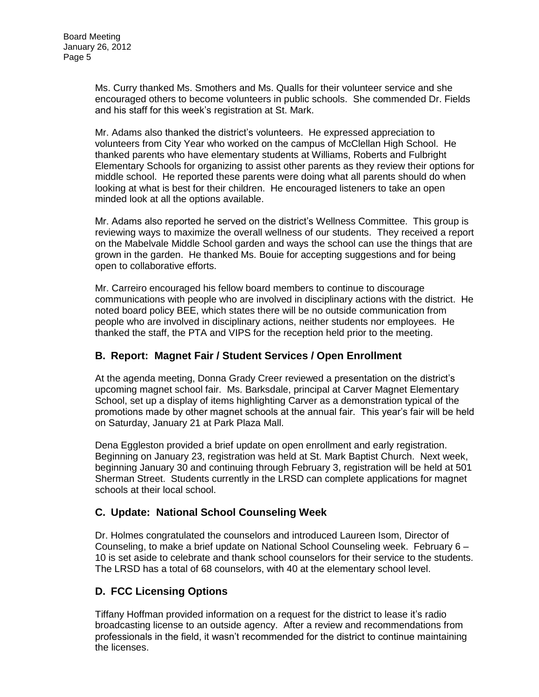Ms. Curry thanked Ms. Smothers and Ms. Qualls for their volunteer service and she encouraged others to become volunteers in public schools. She commended Dr. Fields and his staff for this week's registration at St. Mark.

Mr. Adams also thanked the district's volunteers. He expressed appreciation to volunteers from City Year who worked on the campus of McClellan High School. He thanked parents who have elementary students at Williams, Roberts and Fulbright Elementary Schools for organizing to assist other parents as they review their options for middle school. He reported these parents were doing what all parents should do when looking at what is best for their children. He encouraged listeners to take an open minded look at all the options available.

Mr. Adams also reported he served on the district's Wellness Committee. This group is reviewing ways to maximize the overall wellness of our students. They received a report on the Mabelvale Middle School garden and ways the school can use the things that are grown in the garden. He thanked Ms. Bouie for accepting suggestions and for being open to collaborative efforts.

Mr. Carreiro encouraged his fellow board members to continue to discourage communications with people who are involved in disciplinary actions with the district. He noted board policy BEE, which states there will be no outside communication from people who are involved in disciplinary actions, neither students nor employees. He thanked the staff, the PTA and VIPS for the reception held prior to the meeting.

## **B. Report: Magnet Fair / Student Services / Open Enrollment**

At the agenda meeting, Donna Grady Creer reviewed a presentation on the district's upcoming magnet school fair. Ms. Barksdale, principal at Carver Magnet Elementary School, set up a display of items highlighting Carver as a demonstration typical of the promotions made by other magnet schools at the annual fair. This year's fair will be held on Saturday, January 21 at Park Plaza Mall.

Dena Eggleston provided a brief update on open enrollment and early registration. Beginning on January 23, registration was held at St. Mark Baptist Church. Next week, beginning January 30 and continuing through February 3, registration will be held at 501 Sherman Street. Students currently in the LRSD can complete applications for magnet schools at their local school.

### **C. Update: National School Counseling Week**

Dr. Holmes congratulated the counselors and introduced Laureen Isom, Director of Counseling, to make a brief update on National School Counseling week. February 6 – 10 is set aside to celebrate and thank school counselors for their service to the students. The LRSD has a total of 68 counselors, with 40 at the elementary school level.

## **D. FCC Licensing Options**

Tiffany Hoffman provided information on a request for the district to lease it's radio broadcasting license to an outside agency. After a review and recommendations from professionals in the field, it wasn't recommended for the district to continue maintaining the licenses.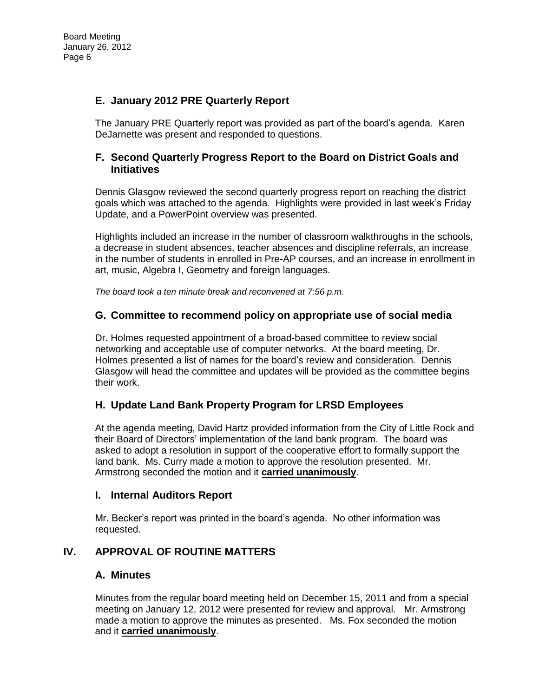# **E. January 2012 PRE Quarterly Report**

The January PRE Quarterly report was provided as part of the board's agenda. Karen DeJarnette was present and responded to questions.

### **F. Second Quarterly Progress Report to the Board on District Goals and Initiatives**

Dennis Glasgow reviewed the second quarterly progress report on reaching the district goals which was attached to the agenda. Highlights were provided in last week's Friday Update, and a PowerPoint overview was presented.

Highlights included an increase in the number of classroom walkthroughs in the schools, a decrease in student absences, teacher absences and discipline referrals, an increase in the number of students in enrolled in Pre-AP courses, and an increase in enrollment in art, music, Algebra I, Geometry and foreign languages.

*The board took a ten minute break and reconvened at 7:56 p.m.* 

### **G. Committee to recommend policy on appropriate use of social media**

Dr. Holmes requested appointment of a broad-based committee to review social networking and acceptable use of computer networks. At the board meeting, Dr. Holmes presented a list of names for the board's review and consideration. Dennis Glasgow will head the committee and updates will be provided as the committee begins their work.

### **H. Update Land Bank Property Program for LRSD Employees**

At the agenda meeting, David Hartz provided information from the City of Little Rock and their Board of Directors' implementation of the land bank program. The board was asked to adopt a resolution in support of the cooperative effort to formally support the land bank. Ms. Curry made a motion to approve the resolution presented. Mr. Armstrong seconded the motion and it **carried unanimously**.

### **I. Internal Auditors Report**

Mr. Becker's report was printed in the board's agenda. No other information was requested.

### **IV. APPROVAL OF ROUTINE MATTERS**

### **A. Minutes**

Minutes from the regular board meeting held on December 15, 2011 and from a special meeting on January 12, 2012 were presented for review and approval. Mr. Armstrong made a motion to approve the minutes as presented. Ms. Fox seconded the motion and it **carried unanimously**.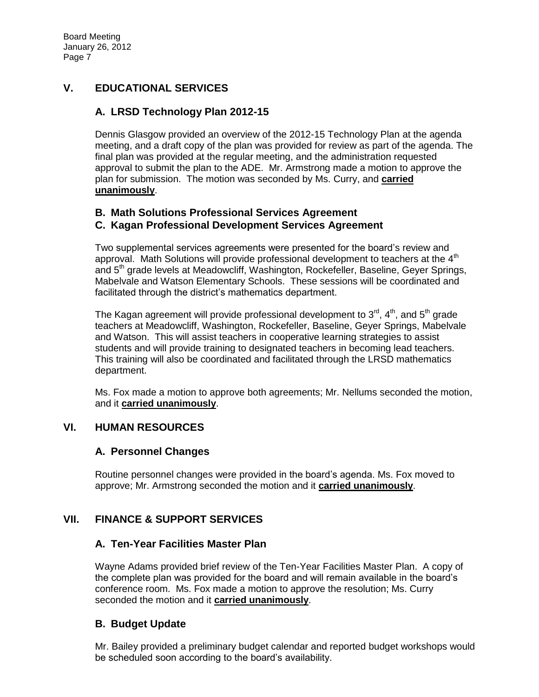# **V. EDUCATIONAL SERVICES**

## **A. LRSD Technology Plan 2012-15**

Dennis Glasgow provided an overview of the 2012-15 Technology Plan at the agenda meeting, and a draft copy of the plan was provided for review as part of the agenda. The final plan was provided at the regular meeting, and the administration requested approval to submit the plan to the ADE. Mr. Armstrong made a motion to approve the plan for submission. The motion was seconded by Ms. Curry, and **carried unanimously**.

### **B. Math Solutions Professional Services Agreement**

### **C. Kagan Professional Development Services Agreement**

Two supplemental services agreements were presented for the board's review and approval. Math Solutions will provide professional development to teachers at the  $4<sup>th</sup>$ and 5<sup>th</sup> grade levels at Meadowcliff, Washington, Rockefeller, Baseline, Geyer Springs, Mabelvale and Watson Elementary Schools. These sessions will be coordinated and facilitated through the district's mathematics department.

The Kagan agreement will provide professional development to  $3^{\text{rd}}$ ,  $4^{\text{th}}$ , and  $5^{\text{th}}$  grade teachers at Meadowcliff, Washington, Rockefeller, Baseline, Geyer Springs, Mabelvale and Watson. This will assist teachers in cooperative learning strategies to assist students and will provide training to designated teachers in becoming lead teachers. This training will also be coordinated and facilitated through the LRSD mathematics department.

Ms. Fox made a motion to approve both agreements; Mr. Nellums seconded the motion, and it **carried unanimously**.

## **VI. HUMAN RESOURCES**

### **A. Personnel Changes**

Routine personnel changes were provided in the board's agenda. Ms. Fox moved to approve; Mr. Armstrong seconded the motion and it **carried unanimously**.

### **VII. FINANCE & SUPPORT SERVICES**

### **A. Ten-Year Facilities Master Plan**

Wayne Adams provided brief review of the Ten-Year Facilities Master Plan. A copy of the complete plan was provided for the board and will remain available in the board's conference room. Ms. Fox made a motion to approve the resolution; Ms. Curry seconded the motion and it **carried unanimously**.

### **B. Budget Update**

Mr. Bailey provided a preliminary budget calendar and reported budget workshops would be scheduled soon according to the board's availability.